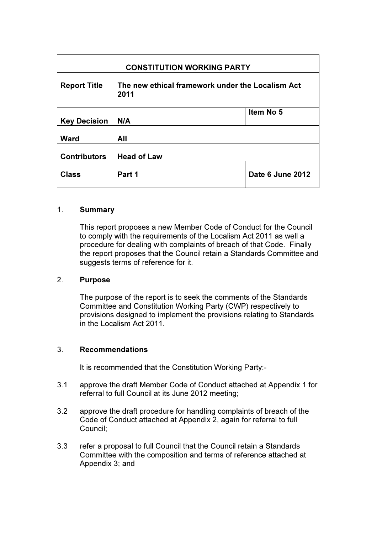| <b>CONSTITUTION WORKING PARTY</b> |                                                          |                  |
|-----------------------------------|----------------------------------------------------------|------------------|
| <b>Report Title</b>               | The new ethical framework under the Localism Act<br>2011 |                  |
| <b>Key Decision</b>               | N/A                                                      | Item No 5        |
| <b>Ward</b>                       | All                                                      |                  |
| <b>Contributors</b>               | <b>Head of Law</b>                                       |                  |
| <b>Class</b>                      | Part 1                                                   | Date 6 June 2012 |

#### 1. Summary

This report proposes a new Member Code of Conduct for the Council to comply with the requirements of the Localism Act 2011 as well a procedure for dealing with complaints of breach of that Code. Finally the report proposes that the Council retain a Standards Committee and suggests terms of reference for it.

#### 2. Purpose

The purpose of the report is to seek the comments of the Standards Committee and Constitution Working Party (CWP) respectively to provisions designed to implement the provisions relating to Standards in the Localism Act 2011.

#### 3. Recommendations

It is recommended that the Constitution Working Party:-

- 3.1 approve the draft Member Code of Conduct attached at Appendix 1 for referral to full Council at its June 2012 meeting;
- 3.2 approve the draft procedure for handling complaints of breach of the Code of Conduct attached at Appendix 2, again for referral to full Council;
- 3.3 refer a proposal to full Council that the Council retain a Standards Committee with the composition and terms of reference attached at Appendix 3; and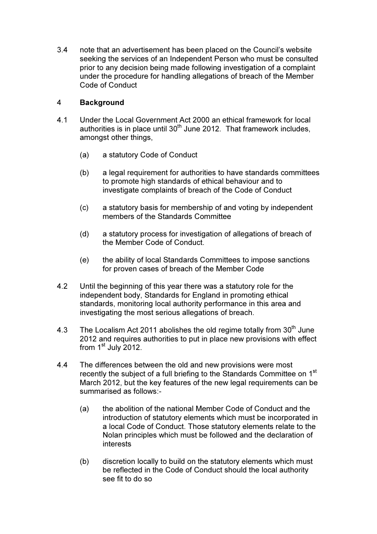3.4 note that an advertisement has been placed on the Council's website seeking the services of an Independent Person who must be consulted prior to any decision being made following investigation of a complaint under the procedure for handling allegations of breach of the Member Code of Conduct

# 4 Background

- 4.1 Under the Local Government Act 2000 an ethical framework for local authorities is in place until  $30<sup>th</sup>$  June 2012. That framework includes, amongst other things,
	- (a) a statutory Code of Conduct
	- (b) a legal requirement for authorities to have standards committees to promote high standards of ethical behaviour and to investigate complaints of breach of the Code of Conduct
	- (c) a statutory basis for membership of and voting by independent members of the Standards Committee
	- (d) a statutory process for investigation of allegations of breach of the Member Code of Conduct.
	- (e) the ability of local Standards Committees to impose sanctions for proven cases of breach of the Member Code
- 4.2 Until the beginning of this year there was a statutory role for the independent body, Standards for England in promoting ethical standards, monitoring local authority performance in this area and investigating the most serious allegations of breach.
- 4.3 The Localism Act 2011 abolishes the old regime totally from  $30<sup>th</sup>$  June 2012 and requires authorities to put in place new provisions with effect from  $1<sup>st</sup>$  July 2012.
- 4.4 The differences between the old and new provisions were most recently the subject of a full briefing to the Standards Committee on 1<sup>st</sup> March 2012, but the key features of the new legal requirements can be summarised as follows:-
	- (a) the abolition of the national Member Code of Conduct and the introduction of statutory elements which must be incorporated in a local Code of Conduct. Those statutory elements relate to the Nolan principles which must be followed and the declaration of interests
	- (b) discretion locally to build on the statutory elements which must be reflected in the Code of Conduct should the local authority see fit to do so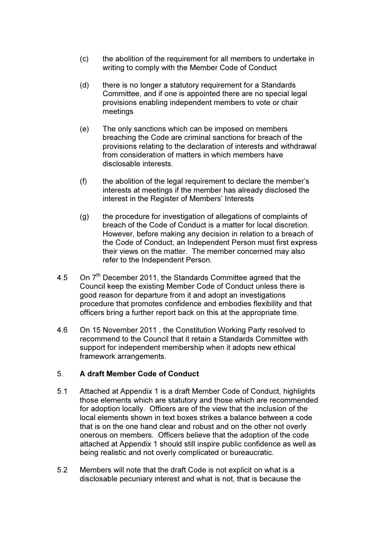- (c) the abolition of the requirement for all members to undertake in writing to comply with the Member Code of Conduct
- (d) there is no longer a statutory requirement for a Standards Committee, and if one is appointed there are no special legal provisions enabling independent members to vote or chair meetings
- (e) The only sanctions which can be imposed on members breaching the Code are criminal sanctions for breach of the provisions relating to the declaration of interests and withdrawal from consideration of matters in which members have disclosable interests.
- (f) the abolition of the legal requirement to declare the member's interests at meetings if the member has already disclosed the interest in the Register of Members' Interests
- (g) the procedure for investigation of allegations of complaints of breach of the Code of Conduct is a matter for local discretion. However, before making any decision in relation to a breach of the Code of Conduct, an Independent Person must first express their views on the matter. The member concerned may also refer to the Independent Person.
- 4.5 On 7<sup>th</sup> December 2011, the Standards Committee agreed that the Council keep the existing Member Code of Conduct unless there is good reason for departure from it and adopt an investigations procedure that promotes confidence and embodies flexibility and that officers bring a further report back on this at the appropriate time.
- 4.6 On 15 November 2011 , the Constitution Working Party resolved to recommend to the Council that it retain a Standards Committee with support for independent membership when it adopts new ethical framework arrangements.

# 5. A draft Member Code of Conduct

- 5.1 Attached at Appendix 1 is a draft Member Code of Conduct, highlights those elements which are statutory and those which are recommended for adoption locally. Officers are of the view that the inclusion of the local elements shown in text boxes strikes a balance between a code that is on the one hand clear and robust and on the other not overly onerous on members. Officers believe that the adoption of the code attached at Appendix 1 should still inspire public confidence as well as being realistic and not overly complicated or bureaucratic.
- 5.2 Members will note that the draft Code is not explicit on what is a disclosable pecuniary interest and what is not, that is because the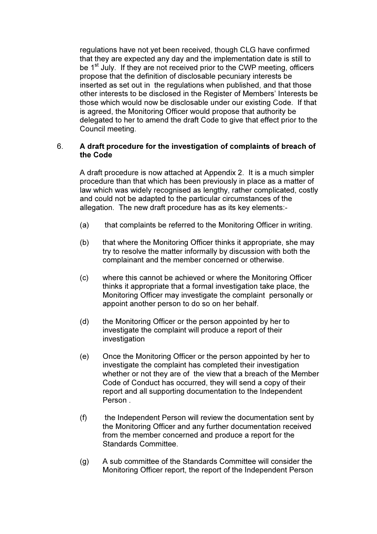regulations have not yet been received, though CLG have confirmed that they are expected any day and the implementation date is still to be  $1<sup>st</sup>$  July. If they are not received prior to the CWP meeting, officers propose that the definition of disclosable pecuniary interests be inserted as set out in the regulations when published, and that those other interests to be disclosed in the Register of Members' Interests be those which would now be disclosable under our existing Code. If that is agreed, the Monitoring Officer would propose that authority be delegated to her to amend the draft Code to give that effect prior to the Council meeting.

### 6. A draft procedure for the investigation of complaints of breach of the Code

A draft procedure is now attached at Appendix 2. It is a much simpler procedure than that which has been previously in place as a matter of law which was widely recognised as lengthy, rather complicated, costly and could not be adapted to the particular circumstances of the allegation. The new draft procedure has as its key elements:-

- (a) that complaints be referred to the Monitoring Officer in writing.
- (b) that where the Monitoring Officer thinks it appropriate, she may try to resolve the matter informally by discussion with both the complainant and the member concerned or otherwise.
- (c) where this cannot be achieved or where the Monitoring Officer thinks it appropriate that a formal investigation take place, the Monitoring Officer may investigate the complaint personally or appoint another person to do so on her behalf.
- (d) the Monitoring Officer or the person appointed by her to investigate the complaint will produce a report of their investigation
- (e) Once the Monitoring Officer or the person appointed by her to investigate the complaint has completed their investigation whether or not they are of the view that a breach of the Member Code of Conduct has occurred, they will send a copy of their report and all supporting documentation to the Independent Person .
- (f) the Independent Person will review the documentation sent by the Monitoring Officer and any further documentation received from the member concerned and produce a report for the Standards Committee.
- (g) A sub committee of the Standards Committee will consider the Monitoring Officer report, the report of the Independent Person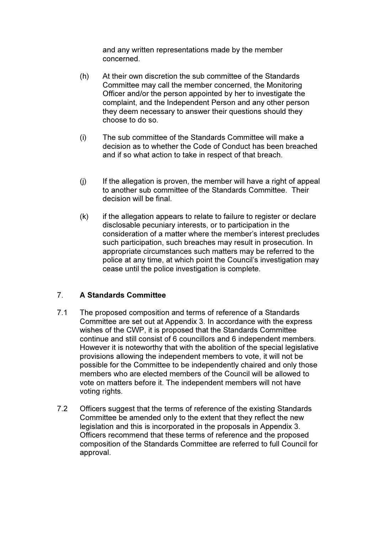and any written representations made by the member concerned.

- (h) At their own discretion the sub committee of the Standards Committee may call the member concerned, the Monitoring Officer and/or the person appointed by her to investigate the complaint, and the Independent Person and any other person they deem necessary to answer their questions should they choose to do so.
- (i) The sub committee of the Standards Committee will make a decision as to whether the Code of Conduct has been breached and if so what action to take in respect of that breach.
- (j) If the allegation is proven, the member will have a right of appeal to another sub committee of the Standards Committee. Their decision will be final.
- $(k)$  if the allegation appears to relate to failure to register or declare disclosable pecuniary interests, or to participation in the consideration of a matter where the member's interest precludes such participation, such breaches may result in prosecution. In appropriate circumstances such matters may be referred to the police at any time, at which point the Council's investigation may cease until the police investigation is complete.

# 7. A Standards Committee

- 7.1 The proposed composition and terms of reference of a Standards Committee are set out at Appendix 3. In accordance with the express wishes of the CWP, it is proposed that the Standards Committee continue and still consist of 6 councillors and 6 independent members. However it is noteworthy that with the abolition of the special legislative provisions allowing the independent members to vote, it will not be possible for the Committee to be independently chaired and only those members who are elected members of the Council will be allowed to vote on matters before it. The independent members will not have voting rights.
- 7.2 Officers suggest that the terms of reference of the existing Standards Committee be amended only to the extent that they reflect the new legislation and this is incorporated in the proposals in Appendix 3. Officers recommend that these terms of reference and the proposed composition of the Standards Committee are referred to full Council for approval.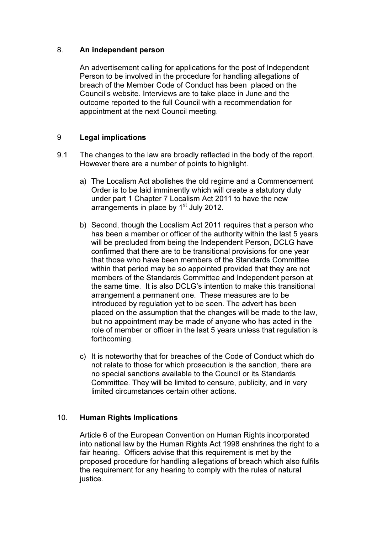### 8. An independent person

An advertisement calling for applications for the post of Independent Person to be involved in the procedure for handling allegations of breach of the Member Code of Conduct has been placed on the Council's website. Interviews are to take place in June and the outcome reported to the full Council with a recommendation for appointment at the next Council meeting.

# 9 Legal implications

- 9.1 The changes to the law are broadly reflected in the body of the report. However there are a number of points to highlight.
	- a) The Localism Act abolishes the old regime and a Commencement Order is to be laid imminently which will create a statutory duty under part 1 Chapter 7 Localism Act 2011 to have the new arrangements in place by  $1<sup>st</sup>$  July 2012.
	- b) Second, though the Localism Act 2011 requires that a person who has been a member or officer of the authority within the last 5 years will be precluded from being the Independent Person, DCLG have confirmed that there are to be transitional provisions for one year that those who have been members of the Standards Committee within that period may be so appointed provided that they are not members of the Standards Committee and Independent person at the same time. It is also DCLG's intention to make this transitional arrangement a permanent one. These measures are to be introduced by regulation yet to be seen. The advert has been placed on the assumption that the changes will be made to the law, but no appointment may be made of anyone who has acted in the role of member or officer in the last 5 years unless that regulation is forthcoming.
	- c) It is noteworthy that for breaches of the Code of Conduct which do not relate to those for which prosecution is the sanction, there are no special sanctions available to the Council or its Standards Committee. They will be limited to censure, publicity, and in very limited circumstances certain other actions.

#### 10. Human Rights Implications

Article 6 of the European Convention on Human Rights incorporated into national law by the Human Rights Act 1998 enshrines the right to a fair hearing. Officers advise that this requirement is met by the proposed procedure for handling allegations of breach which also fulfils the requirement for any hearing to comply with the rules of natural justice.